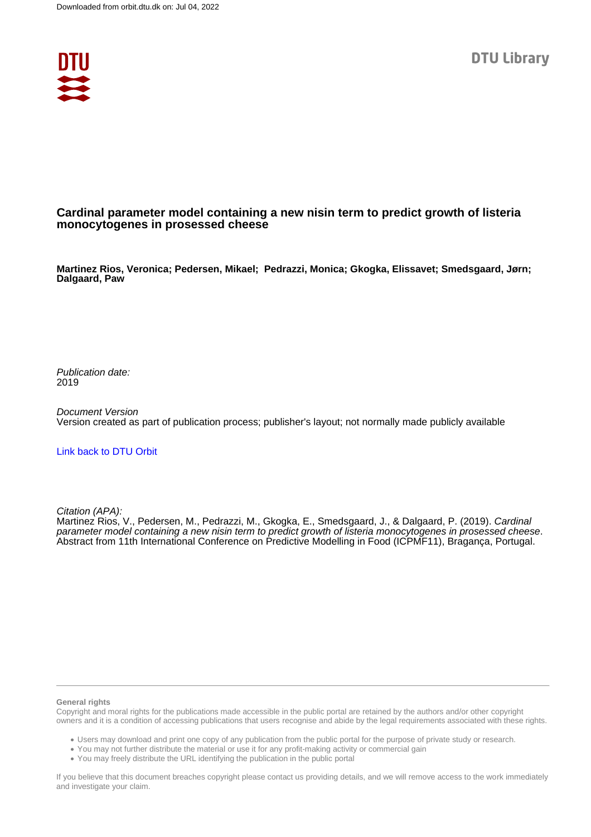

## **Cardinal parameter model containing a new nisin term to predict growth of listeria monocytogenes in prosessed cheese**

**Martinez Rios, Veronica; Pedersen, Mikael; Pedrazzi, Monica; Gkogka, Elissavet; Smedsgaard, Jørn; Dalgaard, Paw**

Publication date: 2019

Document Version Version created as part of publication process; publisher's layout; not normally made publicly available

### [Link back to DTU Orbit](https://orbit.dtu.dk/en/publications/253f3173-dac7-4d6b-8493-97ff4906bcd4)

Citation (APA):

Martinez Rios, V., Pedersen, M., Pedrazzi, M., Gkogka, E., Smedsgaard, J., & Dalgaard, P. (2019). Cardinal parameter model containing a new nisin term to predict growth of listeria monocytogenes in prosessed cheese. Abstract from 11th International Conference on Predictive Modelling in Food (ICPMF11), Bragança, Portugal.

#### **General rights**

Copyright and moral rights for the publications made accessible in the public portal are retained by the authors and/or other copyright owners and it is a condition of accessing publications that users recognise and abide by the legal requirements associated with these rights.

Users may download and print one copy of any publication from the public portal for the purpose of private study or research.

- You may not further distribute the material or use it for any profit-making activity or commercial gain
- You may freely distribute the URL identifying the publication in the public portal

If you believe that this document breaches copyright please contact us providing details, and we will remove access to the work immediately and investigate your claim.